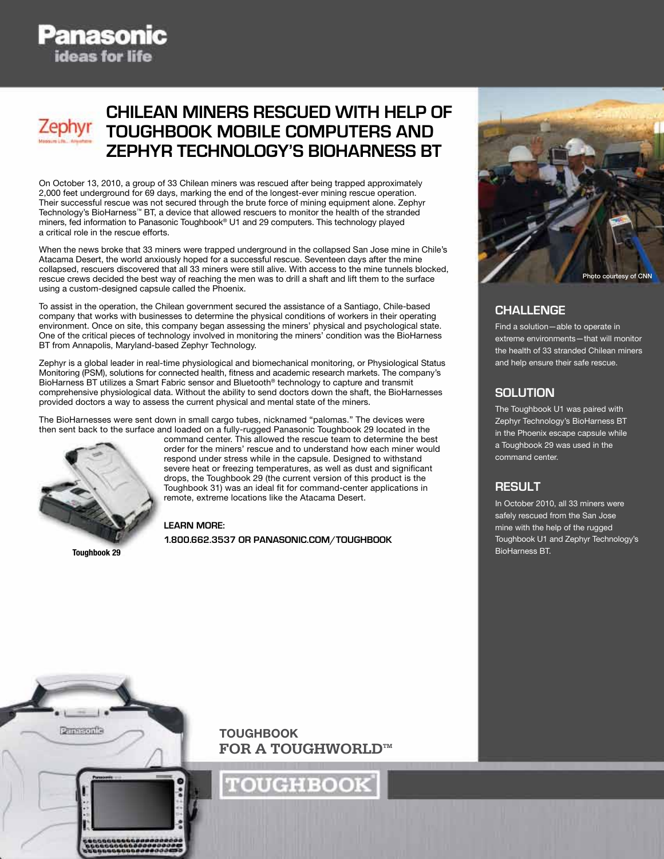## **Chilean Miners Rescued with Help of Toughbook Mobile Computers and Zephyr Technology's BioHarness BT**

On October 13, 2010, a group of 33 Chilean miners was rescued after being trapped approximately 2,000 feet underground for 69 days, marking the end of the longest-ever mining rescue operation. Their successful rescue was not secured through the brute force of mining equipment alone. Zephyr Technology's BioHarness™ BT, a device that allowed rescuers to monitor the health of the stranded miners, fed information to Panasonic Toughbook® U1 and 29 computers. This technology played a critical role in the rescue efforts.

When the news broke that 33 miners were trapped underground in the collapsed San Jose mine in Chile's Atacama Desert, the world anxiously hoped for a successful rescue. Seventeen days after the mine collapsed, rescuers discovered that all 33 miners were still alive. With access to the mine tunnels blocked, rescue crews decided the best way of reaching the men was to drill a shaft and lift them to the surface using a custom-designed capsule called the Phoenix.

To assist in the operation, the Chilean government secured the assistance of a Santiago, Chile-based company that works with businesses to determine the physical conditions of workers in their operating environment. Once on site, this company began assessing the miners' physical and psychological state. One of the critical pieces of technology involved in monitoring the miners' condition was the BioHarness BT from Annapolis, Maryland-based Zephyr Technology.

Zephyr is a global leader in real-time physiological and biomechanical monitoring, or Physiological Status Monitoring (PSM), solutions for connected health, fitness and academic research markets. The company's BioHarness BT utilizes a Smart Fabric sensor and Bluetooth® technology to capture and transmit comprehensive physiological data. Without the ability to send doctors down the shaft, the BioHarnesses provided doctors a way to assess the current physical and mental state of the miners.

The BioHarnesses were sent down in small cargo tubes, nicknamed "palomas." The devices were then sent back to the surface and loaded on a fully-rugged Panasonic Toughbook 29 located in the



Toughbook 29

command center. This allowed the rescue team to determine the best order for the miners' rescue and to understand how each miner would respond under stress while in the capsule. Designed to withstand severe heat or freezing temperatures, as well as dust and significant drops, the Toughbook 29 (the current version of this product is the Toughbook 31) was an ideal fit for command-center applications in remote, extreme locations like the Atacama Desert.

**LEARN MORE:**

**1.800.662.3537 or panasonic.com/toughbook**



## **Challenge**

Find a solution—able to operate in extreme environments—that will monitor the health of 33 stranded Chilean miners and help ensure their safe rescue.

## **solution**

The Toughbook U1 was paired with Zephyr Technology's BioHarness BT in the Phoenix escape capsule while a Toughbook 29 was used in the command center.

#### **result**

In October 2010, all 33 miners were safely rescued from the San Jose mine with the help of the rugged Toughbook U1 and Zephyr Technology's BioHarness BT.



**TOUGHBOOK FOR A TOUGHWORLD™** 

**TOUGHBOOK**